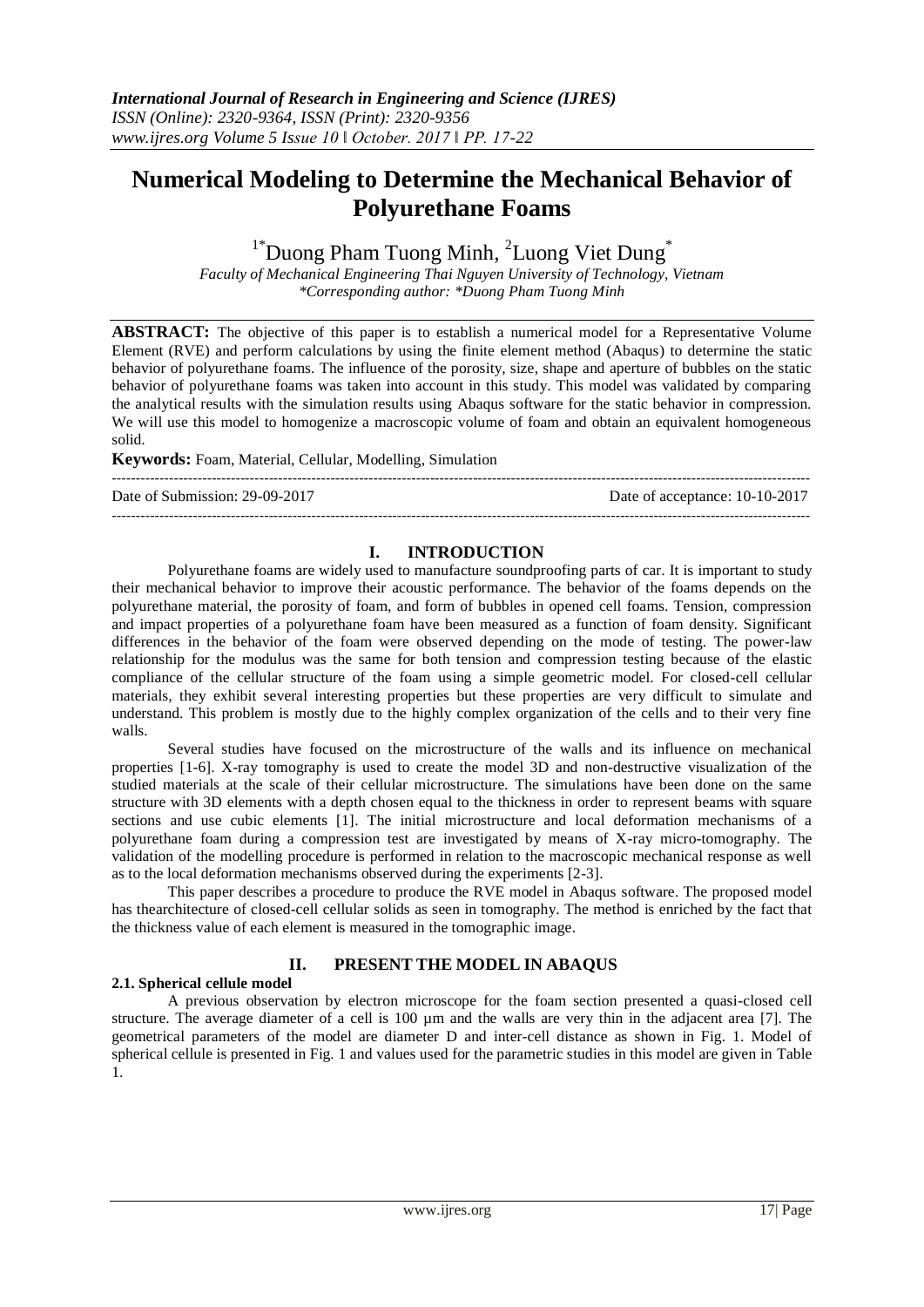# **Numerical Modeling to Determine the Mechanical Behavior of Polyurethane Foams**

 $1^*$ Duong Pham Tuong Minh, <sup>2</sup>Luong Viet Dung<sup>\*</sup>

*Faculty of Mechanical Engineering Thai Nguyen University of Technology, Vietnam \*Corresponding author: \*Duong Pham Tuong Minh*

**ABSTRACT:** The objective of this paper is to establish a numerical model for a Representative Volume Element (RVE) and perform calculations by using the finite element method (Abaqus) to determine the static behavior of polyurethane foams. The influence of the porosity, size, shape and aperture of bubbles on the static behavior of polyurethane foams was taken into account in this study. This model was validated by comparing the analytical results with the simulation results using Abaqus software for the static behavior in compression. We will use this model to homogenize a macroscopic volume of foam and obtain an equivalent homogeneous solid.

**Keywords:** Foam, Material, Cellular, Modelling, Simulation

Date of Submission: 29-09-2017 Date of acceptance: 10-10-2017

---------------------------------------------------------------------------------------------------------------------------------------------------

#### **I. INTRODUCTION**

---------------------------------------------------------------------------------------------------------------------------------------------------

Polyurethane foams are widely used to manufacture soundproofing parts of car. It is important to study their mechanical behavior to improve their acoustic performance. The behavior of the foams depends on the polyurethane material, the porosity of foam, and form of bubbles in opened cell foams. Tension, compression and impact properties of a polyurethane foam have been measured as a function of foam density. Significant differences in the behavior of the foam were observed depending on the mode of testing. The power-law relationship for the modulus was the same for both tension and compression testing because of the elastic compliance of the cellular structure of the foam using a simple geometric model. For closed-cell cellular materials, they exhibit several interesting properties but these properties are very difficult to simulate and understand. This problem is mostly due to the highly complex organization of the cells and to their very fine walls.

Several studies have focused on the microstructure of the walls and its influence on mechanical properties [1-6]. X-ray tomography is used to create the model 3D and non-destructive visualization of the studied materials at the scale of their cellular microstructure. The simulations have been done on the same structure with 3D elements with a depth chosen equal to the thickness in order to represent beams with square sections and use cubic elements [1]. The initial microstructure and local deformation mechanisms of a polyurethane foam during a compression test are investigated by means of X-ray micro-tomography. The validation of the modelling procedure is performed in relation to the macroscopic mechanical response as well as to the local deformation mechanisms observed during the experiments [2-3].

This paper describes a procedure to produce the RVE model in Abaqus software. The proposed model has thearchitecture of closed-cell cellular solids as seen in tomography. The method is enriched by the fact that the thickness value of each element is measured in the tomographic image.

### **II. PRESENT THE MODEL IN ABAQUS**

#### **2.1. Spherical cellule model**

A previous observation by electron microscope for the foam section presented a quasi-closed cell structure. The average diameter of a cell is 100  $\mu$ m and the walls are very thin in the adjacent area [7]. The geometrical parameters of the model are diameter D and inter-cell distance as shown in Fig. 1. Model of spherical cellule is presented in Fig. 1 and values used for the parametric studies in this model are given in Table 1.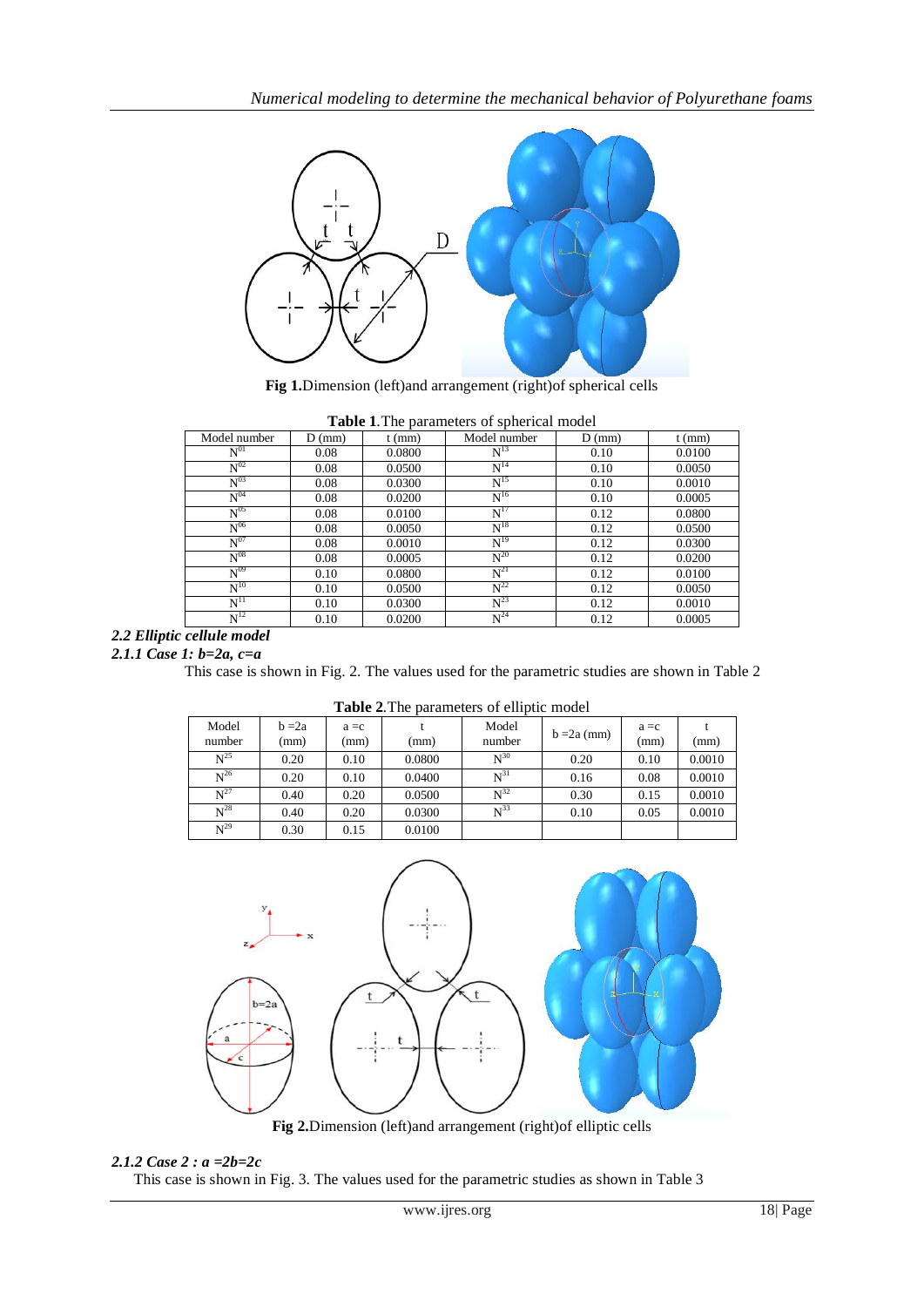

**Fig 1.**Dimension (left)and arrangement (right)of spherical cells

| <b>Table 1.</b> The parameters of spherical moder |          |          |                   |          |          |  |  |  |  |
|---------------------------------------------------|----------|----------|-------------------|----------|----------|--|--|--|--|
| Model number                                      | $D$ (mm) | $t$ (mm) | Model number      | $D$ (mm) | $t$ (mm) |  |  |  |  |
| $\mathrm{N}^{01}$                                 | 0.08     | 0.0800   | $N^{13}$          | 0.10     | 0.0100   |  |  |  |  |
| $\overline{N^{02}}$                               | 0.08     | 0.0500   | $N^{14}$          | 0.10     | 0.0050   |  |  |  |  |
| $N^{03}$                                          | 0.08     | 0.0300   | $N^{15}$          | 0.10     | 0.0010   |  |  |  |  |
| $\mathrm{N}^{04}$                                 | 0.08     | 0.0200   | $\mathrm{N}^{16}$ | 0.10     | 0.0005   |  |  |  |  |
| $N^{05}$                                          | 0.08     | 0.0100   | $N^{17}$          | 0.12     | 0.0800   |  |  |  |  |
| $N^{06}$                                          | 0.08     | 0.0050   | $N^{18}$          | 0.12     | 0.0500   |  |  |  |  |
| $N^{07}$                                          | 0.08     | 0.0010   | $N^{19}$          | 0.12     | 0.0300   |  |  |  |  |
| $N^{08}$                                          | 0.08     | 0.0005   | $N^{20}$          | 0.12     | 0.0200   |  |  |  |  |
| $N^{09}$                                          | 0.10     | 0.0800   | $N^{21}$          | 0.12     | 0.0100   |  |  |  |  |
| $N^{10}$                                          | 0.10     | 0.0500   | $N^{22}$          | 0.12     | 0.0050   |  |  |  |  |
| $N^{11}$                                          | 0.10     | 0.0300   | $N^{23}$          | 0.12     | 0.0010   |  |  |  |  |
| $N^{12}$                                          | 0.10     | 0.0200   | $N^{24}$          | 0.12     | 0.0005   |  |  |  |  |

**Table 1***.*The parameters of spherical model

### *2.2 Elliptic cellule model*

*2.1.1 Case 1: b=2a, c=a*

This case is shown in Fig. 2. The values used for the parametric studies are shown in Table 2

| <b>Table 2.</b> The parameters of elliptic model |                  |                 |        |                 |               |                 |        |  |
|--------------------------------------------------|------------------|-----------------|--------|-----------------|---------------|-----------------|--------|--|
| Model<br>number                                  | $b = 2a$<br>(mm) | $a = c$<br>(mm) | (mm)   | Model<br>number | $b = 2a$ (mm) | $a = c$<br>(mm) | (mm)   |  |
| $N^{25}$                                         | 0.20             | 0.10            | 0.0800 | $N^{30}$        | 0.20          | 0.10            | 0.0010 |  |
| $N^{26}$                                         | 0.20             | 0.10            | 0.0400 | $N^{31}$        | 0.16          | 0.08            | 0.0010 |  |
| $N^{27}$                                         | 0.40             | 0.20            | 0.0500 | $N^{32}$        | 0.30          | 0.15            | 0.0010 |  |
| $N^{28}$                                         | 0.40             | 0.20            | 0.0300 | $N^{33}$        | 0.10          | 0.05            | 0.0010 |  |
| $N^{29}$                                         | 0.30             | 0.15            | 0.0100 |                 |               |                 |        |  |





**Fig 2.**Dimension (left)and arrangement (right)of elliptic cells

#### *2.1.2 Case 2 : a =2b=2c*

This case is shown in Fig. 3. The values used for the parametric studies as shown in Table 3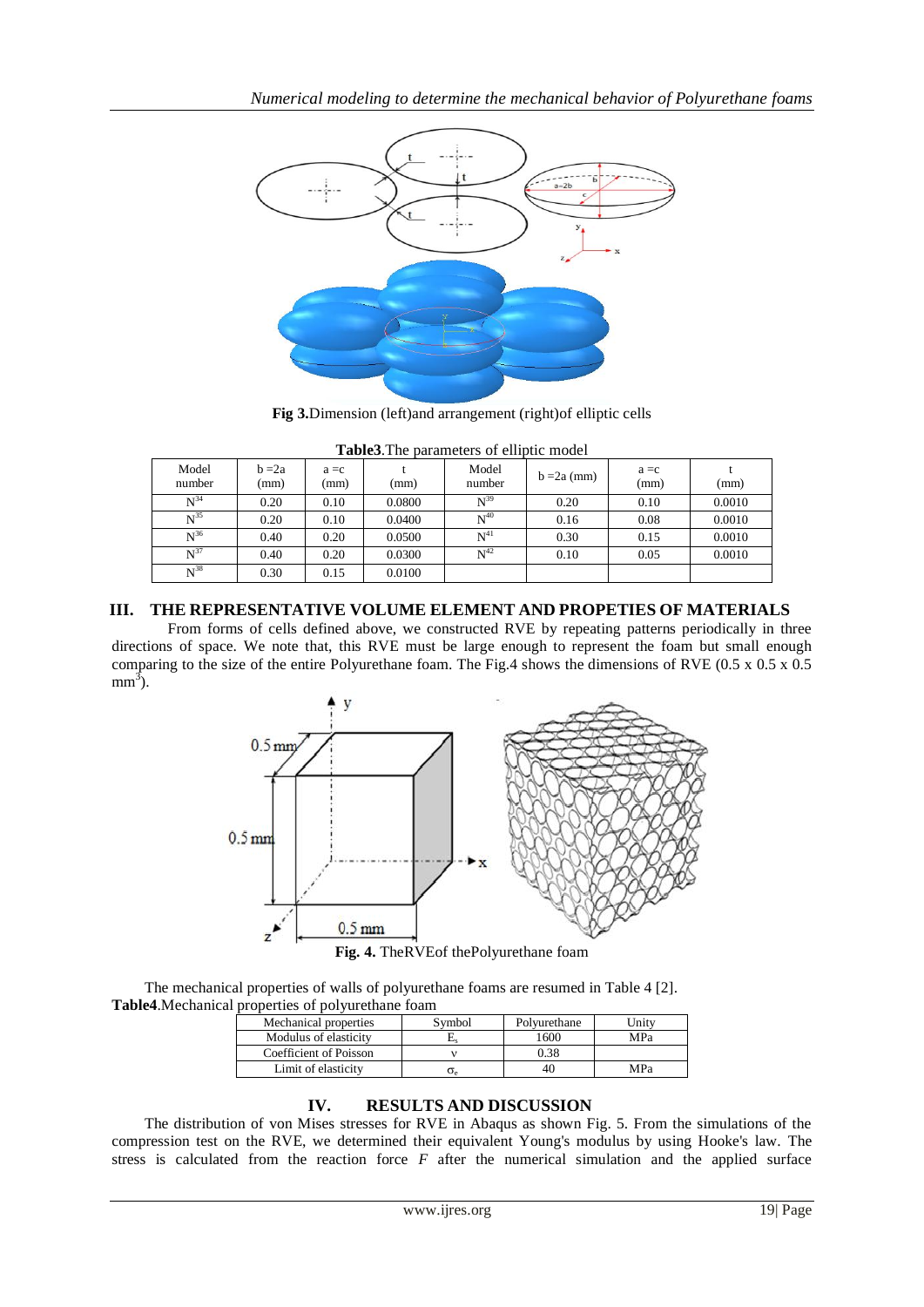

**Fig 3.**Dimension (left)and arrangement (right)of elliptic cells

| <b>Tables.</b> The barangels of emplic model |                  |                 |        |                   |               |                 |        |  |  |
|----------------------------------------------|------------------|-----------------|--------|-------------------|---------------|-----------------|--------|--|--|
| Model<br>number                              | $b = 2a$<br>(mm) | $a = c$<br>(mm) | (mm)   | Model<br>number   | $b = 2a$ (mm) | $a = c$<br>(mm) | (mm)   |  |  |
| $N^{34}$                                     | 0.20             | 0.10            | 0.0800 | $N^{39}$          | 0.20          | 0.10            | 0.0010 |  |  |
| $N^{35}$                                     | 0.20             | 0.10            | 0.0400 | $\mathrm{N}^{40}$ | 0.16          | 0.08            | 0.0010 |  |  |
| $N^{36}$                                     | 0.40             | 0.20            | 0.0500 | $N^{41}$          | 0.30          | 0.15            | 0.0010 |  |  |
| $N^{37}$                                     | 0.40             | 0.20            | 0.0300 | $N^{42}$          | 0.10          | 0.05            | 0.0010 |  |  |
| $N^{38}$                                     | 0.30             | 0.15            | 0.0100 |                   |               |                 |        |  |  |

**Table3**.The parameters of elliptic model

## **III. THE REPRESENTATIVE VOLUME ELEMENT AND PROPETIES OF MATERIALS**

From forms of cells defined above, we constructed RVE by repeating patterns periodically in three directions of space. We note that, this RVE must be large enough to represent the foam but small enough comparing to the size of the entire Polyurethane foam. The Fig.4 shows the dimensions of RVE (0.5 x 0.5 x 0.5  $mm<sup>3</sup>$ ).



The mechanical properties of walls of polyurethane foams are resumed in Table 4 [2]. **Table4**.Mechanical properties of polyurethane foam

| Mechanical properties  | Svmbol | Polyurethane  | Jnitv |
|------------------------|--------|---------------|-------|
| Modulus of elasticity  |        | $600^{\circ}$ | MPa   |
| Coefficient of Poisson |        | 0.38          |       |
| Limit of elasticity    |        |               | MPa   |

# **IV. RESULTS AND DISCUSSION**

The distribution of von Mises stresses for RVE in Abaqus as shown Fig. 5. From the simulations of the compression test on the RVE, we determined their equivalent Young's modulus by using Hooke's law. The stress is calculated from the reaction force *F* after the numerical simulation and the applied surface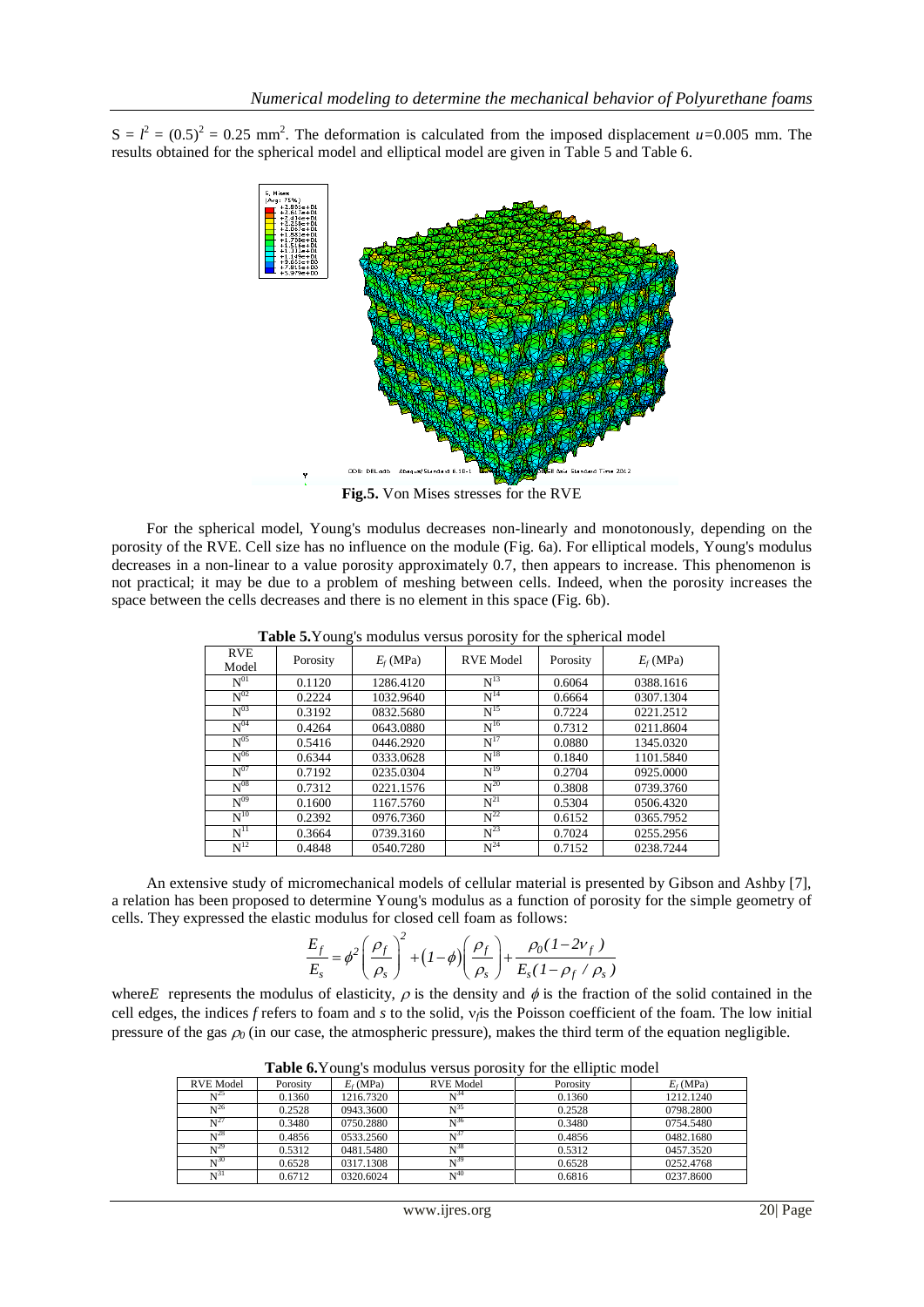$S = l<sup>2</sup> = (0.5)<sup>2</sup> = 0.25$  mm<sup>2</sup>. The deformation is calculated from the imposed displacement *u*=0.005 mm. The results obtained for the spherical model and elliptical model are given in Table 5 and Table 6.



**Fig.5.** Von Mises stresses for the RVE

For the spherical model, Young's modulus decreases non-linearly and monotonously, depending on the porosity of the RVE. Cell size has no influence on the module (Fig. 6a). For elliptical models, Young's modulus decreases in a non-linear to a value porosity approximately 0.7, then appears to increase. This phenomenon is not practical; it may be due to a problem of meshing between cells. Indeed, when the porosity increases the space between the cells decreases and there is no element in this space (Fig. 6b).

| <b>RVE</b><br>Model | Porosity | $E_f(MPa)$ | <b>RVE Model</b> | Porosity | $E_f(MPa)$ |
|---------------------|----------|------------|------------------|----------|------------|
| $\mathrm{N}^{01}$   | 0.1120   | 1286.4120  | $N^{13}$         | 0.6064   | 0388.1616  |
| $N^{02}$            | 0.2224   | 1032.9640  | $N^{14}$         | 0.6664   | 0307.1304  |
| $N^{03}$            | 0.3192   | 0832.5680  | $N^{15}$         | 0.7224   | 0221.2512  |
| $N^{04}$            | 0.4264   | 0643.0880  | $N^{16}$         | 0.7312   | 0211.8604  |
| $N^{05}$            | 0.5416   | 0446.2920  | $N^{17}$         | 0.0880   | 1345.0320  |
| $N^{06}$            | 0.6344   | 0333.0628  | $N^{18}$         | 0.1840   | 1101.5840  |
| $N^{07}$            | 0.7192   | 0235.0304  | $N^{19}$         | 0.2704   | 0925,0000  |
| $N^{08}$            | 0.7312   | 0221.1576  | $N^{20}$         | 0.3808   | 0739.3760  |
| $N^{09}$            | 0.1600   | 1167.5760  | $N^{21}$         | 0.5304   | 0506.4320  |
| $N^{10}$            | 0.2392   | 0976.7360  | $N^{22}$         | 0.6152   | 0365.7952  |
| $N^{11}$            | 0.3664   | 0739.3160  | $N^{23}$         | 0.7024   | 0255.2956  |
| $N^{12}$            | 0.4848   | 0540.7280  | $N^{24}$         | 0.7152   | 0238.7244  |

**Table 5.**Young's modulus versus porosity for the spherical model

An extensive study of micromechanical models of cellular material is presented by Gibson and Ashby [7], a relation has been proposed to determine Young's modulus as a function of porosity for the simple geometry of

cells. They expressed the elastic modulus for closed cell foam as follows:  
\n
$$
\frac{E_f}{E_s} = \phi^2 \left( \frac{\rho_f}{\rho_s} \right)^2 + (1 - \phi) \left( \frac{\rho_f}{\rho_s} \right) + \frac{\rho_0 (1 - 2v_f)}{E_s (1 - \rho_f / \rho_s)}
$$

where E represents the modulus of elasticity,  $\rho$  is the density and  $\phi$  is the fraction of the solid contained in the cell edges, the indices  $f$  refers to foam and  $s$  to the solid,  $v_j$  is the Poisson coefficient of the foam. The low initial pressure of the gas  $\rho_0$  (in our case, the atmospheric pressure), makes the third term of the equation negligible.

| Porosity | $E_f(MPa)$ | RVE Model         | Porosity                                      | $E_f(MPa)$ |
|----------|------------|-------------------|-----------------------------------------------|------------|
| 0.1360   | 1216.7320  | $\mathrm{N}^{34}$ | 0.1360                                        | 1212.1240  |
| 0.2528   | 0943.3600  | $\mathrm{N}^{35}$ | 0.2528                                        | 0798.2800  |
| 0.3480   | 0750.2880  | $N^{36}$          | 0.3480                                        | 0754.5480  |
| 0.4856   | 0533.2560  |                   | 0.4856                                        | 0482.1680  |
| 0.5312   | 0481.5480  | $N^{38}$          | 0.5312                                        | 0457.3520  |
| 0.6528   | 0317.1308  | $N^{39}$          | 0.6528                                        | 0252.4768  |
| 0.6712   | 0320.6024  | $N^{40}$          | 0.6816                                        | 0237.8600  |
|          |            |                   | $20010$ or $10000$ $10000$ $1000$<br>$N^{37}$ | ------     |

**Table 6.**Young's modulus versus porosity for the elliptic model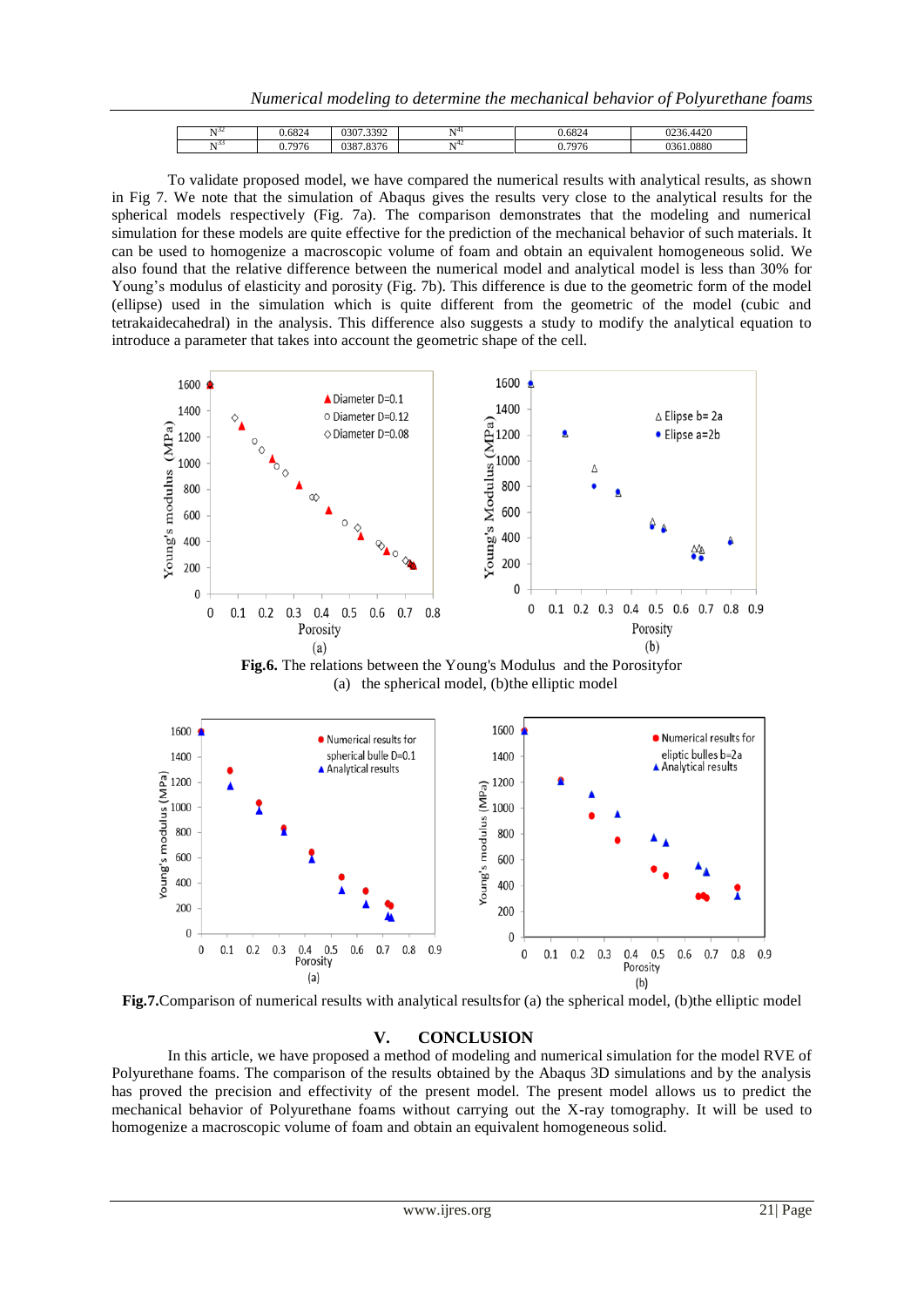*Numerical modeling to determine the mechanical behavior of Polyurethane foams*

| 57.52 | .6824     | 7.3392<br>JSU /                              | $\mathbf{v}$ | $\sim$<br>.082'' | 420<br>$\sim$ $\sim$<br>- 4420 |
|-------|-----------|----------------------------------------------|--------------|------------------|--------------------------------|
| 55    | 7076<br>∼ | 0.27 <sub>0</sub><br>ົາລິຕ<br>7.8370<br>JJO. | 744          | 707<br>u<br>v    | 0880<br>$\sim$ $\sim$<br>זר    |

To validate proposed model, we have compared the numerical results with analytical results, as shown in Fig 7. We note that the simulation of Abaqus gives the results very close to the analytical results for the spherical models respectively (Fig. 7a). The comparison demonstrates that the modeling and numerical simulation for these models are quite effective for the prediction of the mechanical behavior of such materials. It can be used to homogenize a macroscopic volume of foam and obtain an equivalent homogeneous solid. We also found that the relative difference between the numerical model and analytical model is less than 30% for Young's modulus of elasticity and porosity (Fig. 7b). This difference is due to the geometric form of the model (ellipse) used in the simulation which is quite different from the geometric of the model (cubic and tetrakaidecahedral) in the analysis. This difference also suggests a study to modify the analytical equation to introduce a parameter that takes into account the geometric shape of the cell.



**Fig.6.** The relations between the Young's Modulus and the Porosityfor (a) the spherical model, (b)the elliptic model



**Fig.7.**Comparison of numerical results with analytical resultsfor (a) the spherical model, (b)the elliptic model

#### **V. CONCLUSION**

In this article, we have proposed a method of modeling and numerical simulation for the model RVE of Polyurethane foams. The comparison of the results obtained by the Abaqus 3D simulations and by the analysis has proved the precision and effectivity of the present model. The present model allows us to predict the mechanical behavior of Polyurethane foams without carrying out the X-ray tomography. It will be used to homogenize a macroscopic volume of foam and obtain an equivalent homogeneous solid.